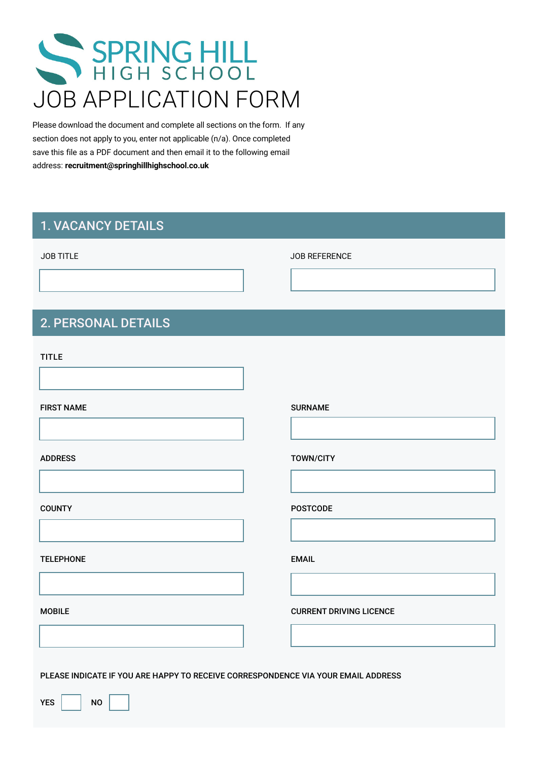# SPRING HILL JOB APPLICATION FORM

Please download the document and complete all sections on the form. If any section does not apply to you, enter not applicable (n/a). Once completed save this file as a PDF document and then email it to the following email address: **recruitment@springhillhighschool.co.uk** 

### 1. VACANCY DETAILS

#### JOB TITLE

JOB REFERENCE

# TITLE

2. PERSONAL DETAILS

FIRST NAME

#### ADDRESS

**COUNTY** 

TELEPHONE

MOBILE

SURNAME

#### TOWN/CITY

POSTCODE

EMAIL

CURRENT DRIVING LICENCE

PLEASE INDICATE IF YOU ARE HAPPY TO RECEIVE CORRESPONDENCE VIA YOUR EMAIL ADDRESS

YES | NO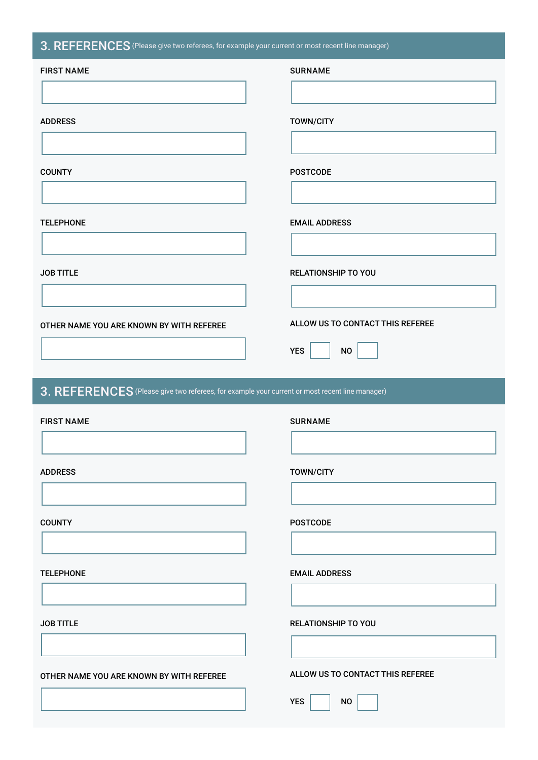#### 3. REFERENCES (Please give two referees, for example your current or most recent line manager)

| and the state                                                                                  | $\sim$ $\sim$                                               |
|------------------------------------------------------------------------------------------------|-------------------------------------------------------------|
| <b>FIRST NAME</b>                                                                              | <b>SURNAME</b>                                              |
|                                                                                                |                                                             |
| <b>ADDRESS</b>                                                                                 | <b>TOWN/CITY</b>                                            |
|                                                                                                |                                                             |
|                                                                                                |                                                             |
| <b>COUNTY</b>                                                                                  | <b>POSTCODE</b>                                             |
|                                                                                                |                                                             |
| <b>TELEPHONE</b>                                                                               | <b>EMAIL ADDRESS</b>                                        |
|                                                                                                |                                                             |
| <b>JOB TITLE</b>                                                                               | <b>RELATIONSHIP TO YOU</b>                                  |
|                                                                                                |                                                             |
|                                                                                                | ALLOW US TO CONTACT THIS REFEREE                            |
| OTHER NAME YOU ARE KNOWN BY WITH REFEREE                                                       |                                                             |
|                                                                                                | <b>YES</b><br>$\mathsf{NO}$                                 |
|                                                                                                |                                                             |
|                                                                                                |                                                             |
| 3. REFERENCES (Please give two referees, for example your current or most recent line manager) |                                                             |
| <b>FIRST NAME</b>                                                                              | <b>SURNAME</b>                                              |
|                                                                                                |                                                             |
| <b>ADDRESS</b>                                                                                 |                                                             |
|                                                                                                | <b>TOWN/CITY</b>                                            |
|                                                                                                |                                                             |
| <b>COUNTY</b>                                                                                  | <b>POSTCODE</b>                                             |
|                                                                                                |                                                             |
| <b>TELEPHONE</b>                                                                               | <b>EMAIL ADDRESS</b>                                        |
|                                                                                                |                                                             |
| <b>JOB TITLE</b>                                                                               | <b>RELATIONSHIP TO YOU</b>                                  |
|                                                                                                |                                                             |
|                                                                                                |                                                             |
| OTHER NAME YOU ARE KNOWN BY WITH REFEREE                                                       | ALLOW US TO CONTACT THIS REFEREE<br><b>YES</b><br><b>NO</b> |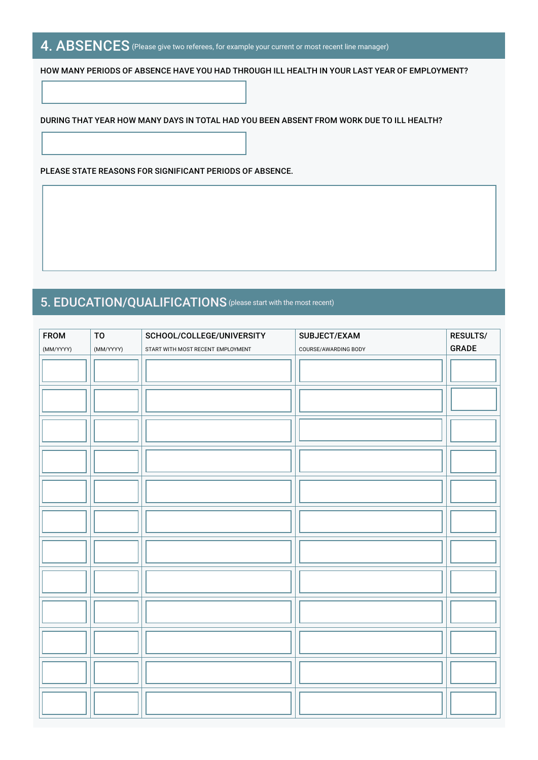## 4. ABSENCES (Please give two referees, for example your current or most recent line manager)

HOW MANY PERIODS OF ABSENCE HAVE YOU HAD THROUGH ILL HEALTH IN YOUR LAST YEAR OF EMPLOYMENT?

DURING THAT YEAR HOW MANY DAYS IN TOTAL HAD YOU BEEN ABSENT FROM WORK DUE TO ILL HEALTH?

PLEASE STATE REASONS FOR SIGNIFICANT PERIODS OF ABSENCE.

# 5. EDUCATION/QUALIFICATIONS(please start with the most recent)

| <b>FROM</b> | TO        | SCHOOL/COLLEGE/UNIVERSITY         | SUBJECT/EXAM         | RESULTS/ |
|-------------|-----------|-----------------------------------|----------------------|----------|
| (MM/YYYY)   | (MM/YYYY) | START WITH MOST RECENT EMPLOYMENT | COURSE/AWARDING BODY | GRADE    |
|             |           |                                   |                      |          |
|             |           |                                   |                      |          |
|             |           |                                   |                      |          |
|             |           |                                   |                      |          |
|             |           |                                   |                      |          |
|             |           |                                   |                      |          |
|             |           |                                   |                      |          |
|             |           |                                   |                      |          |
|             |           |                                   |                      |          |
|             |           |                                   |                      |          |
|             |           |                                   |                      |          |
|             |           |                                   |                      |          |
|             |           |                                   |                      |          |
|             |           |                                   |                      |          |
|             |           |                                   |                      |          |
|             |           |                                   |                      |          |
|             |           |                                   |                      |          |
|             |           |                                   |                      |          |
|             |           |                                   |                      |          |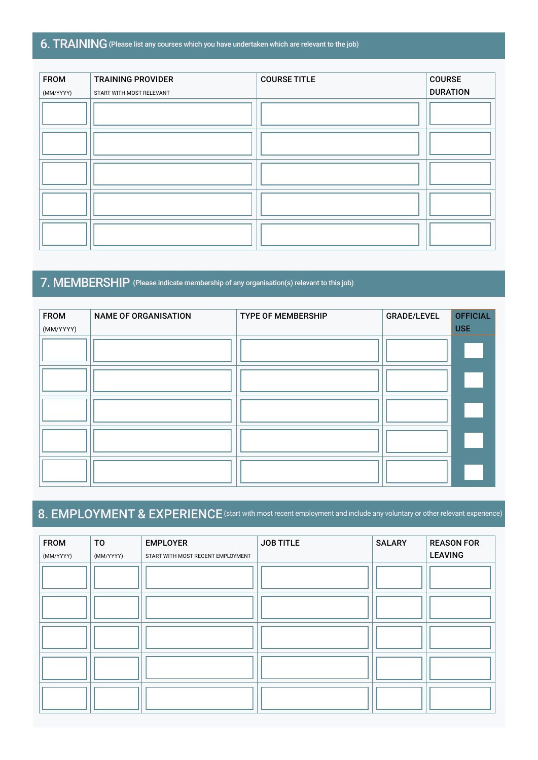#### 6. TRAINING(Please list any courses which you have undertaken which are relevant to the job)

| <b>FROM</b> | <b>TRAINING PROVIDER</b> | <b>COURSE TITLE</b> | <b>COURSE</b>   |
|-------------|--------------------------|---------------------|-----------------|
| (MM/YYYY)   | START WITH MOST RELEVANT |                     | <b>DURATION</b> |
|             |                          |                     |                 |
|             |                          |                     |                 |
|             |                          |                     |                 |
|             |                          |                     |                 |
|             |                          |                     |                 |

# 7. MEMBERSHIP (Please indicate membership of any organisation(s) relevant to this job)

| <b>FROM</b> | <b>NAME OF ORGANISATION</b> | <b>TYPE OF MEMBERSHIP</b> | <b>GRADE/LEVEL</b> | <b>OFFICIAL</b> |
|-------------|-----------------------------|---------------------------|--------------------|-----------------|
| (MM/YYYY)   |                             |                           |                    | <b>USE</b>      |
|             |                             |                           |                    |                 |
|             |                             |                           |                    |                 |
|             |                             |                           |                    |                 |
|             |                             |                           |                    |                 |
|             |                             |                           |                    |                 |

# 8. EMPLOYMENT & EXPERIENCE (start with most recent employment and include any voluntary or other relevant experience)

| <b>FROM</b> | <b>TO</b> | <b>EMPLOYER</b>                   | <b>JOB TITLE</b> | <b>SALARY</b> | <b>REASON FOR</b> |
|-------------|-----------|-----------------------------------|------------------|---------------|-------------------|
| (MM/YYYY)   | (MM/YYYY) | START WITH MOST RECENT EMPLOYMENT |                  |               | <b>LEAVING</b>    |
|             |           |                                   |                  |               |                   |
|             |           |                                   |                  |               |                   |
|             |           |                                   |                  |               |                   |
|             |           |                                   |                  |               |                   |
|             |           |                                   |                  |               |                   |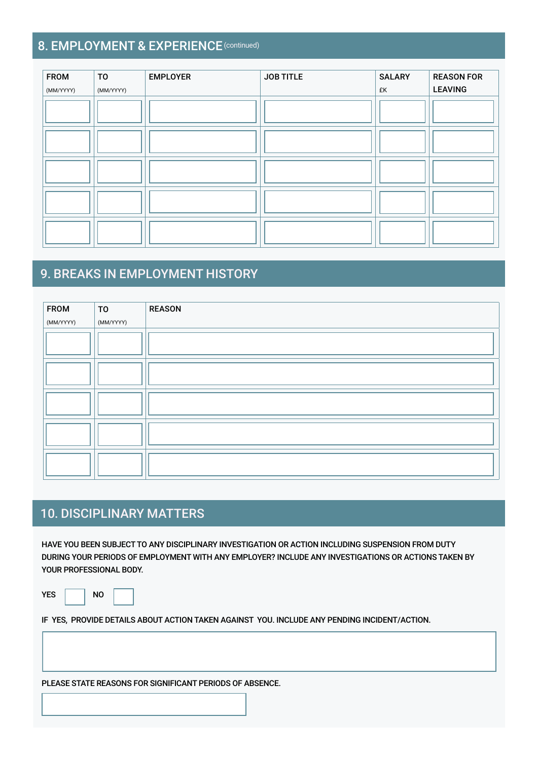### 8. EMPLOYMENT & EXPERIENCE (continued)

| <b>FROM</b> | T <sub>0</sub> | <b>EMPLOYER</b> | <b>JOB TITLE</b> | <b>SALARY</b> | <b>REASON FOR</b> |
|-------------|----------------|-----------------|------------------|---------------|-------------------|
| (MM/YYYY)   | (MM/YYYY)      |                 |                  | £K            | <b>LEAVING</b>    |
|             |                |                 |                  |               |                   |
|             |                |                 |                  |               |                   |
|             |                |                 |                  |               |                   |
|             |                |                 |                  |               |                   |
|             |                |                 |                  |               |                   |

# 9. BREAKS IN EMPLOYMENT HISTORY

| <b>FROM</b> | T <sub>0</sub> | <b>REASON</b> |
|-------------|----------------|---------------|
| (MM/YYYY)   | (MM/YYYY)      |               |
|             |                |               |
|             |                |               |
|             |                |               |
|             |                |               |
|             |                |               |
|             |                |               |
|             |                |               |
|             |                |               |
|             |                |               |
|             |                |               |

# 10. DISCIPLINARY MATTERS

HAVE YOU BEEN SUBJECT TO ANY DISCIPLINARY INVESTIGATION OR ACTION INCLUDING SUSPENSION FROM DUTY DURING YOUR PERIODS OF EMPLOYMENT WITH ANY EMPLOYER? INCLUDE ANY INVESTIGATIONS OR ACTIONS TAKEN BY YOUR PROFESSIONAL BODY.

YES | NO

IF YES, PROVIDE DETAILS ABOUT ACTION TAKEN AGAINST YOU. INCLUDE ANY PENDING INCIDENT/ACTION.

PLEASE STATE REASONS FOR SIGNIFICANT PERIODS OF ABSENCE.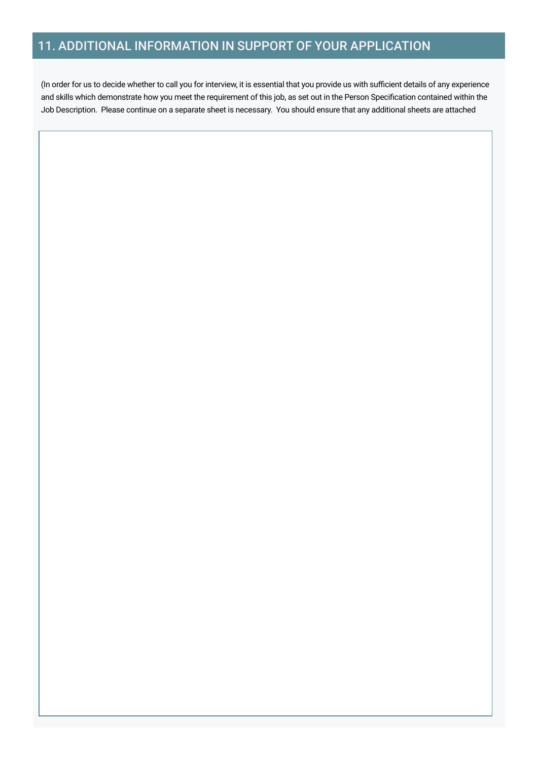## 11. ADDITIONAL INFORMATION IN SUPPORT OF YOUR APPLICATION

(In order for us to decide whether to call you for interview, it is essential that you provide us with sufficient details of any experience and skills which demonstrate how you meet the requirement of this job, as set out in the Person Specification contained within the Job Description. Please continue on a separate sheet is necessary. You should ensure that any additional sheets are attached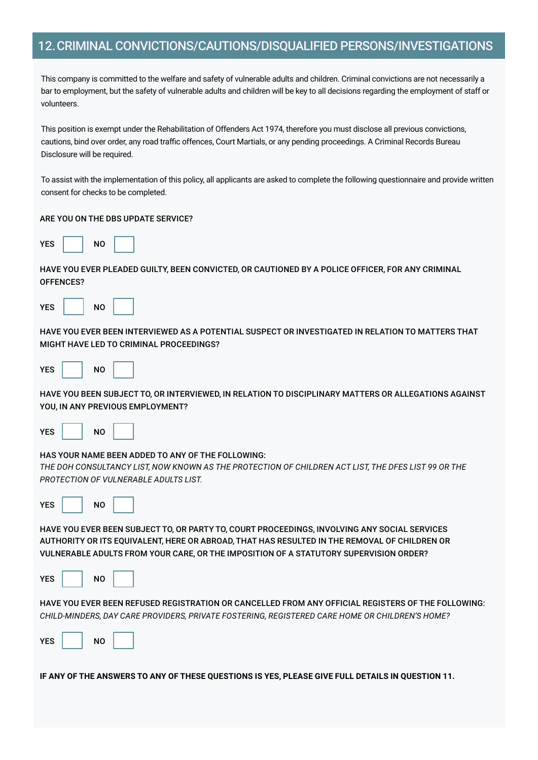#### 12.CRIMINAL CONVICTIONS/CAUTIONS/DISQUALIFIED PERSONS/INVESTIGATIONS

This company is committed to the welfare and safety of vulnerable adults and children. Criminal convictions are not necessarily a bar to employment, but the safety of vulnerable adults and children will be key to all decisions regarding the employment of staff or volunteers.

This position is exempt under the Rehabilitation of Offenders Act 1974, therefore you must disclose all previous convictions, cautions, bind over order, any road traffic offences, Court Martials, or any pending proceedings. A Criminal Records Bureau Disclosure will be required.

To assist with the implementation of this policy, all applicants are asked to complete the following questionnaire and provide written consent for checks to be completed.

#### ARE YOU ON THE DBS UPDATE SERVICE?

| <b>YES</b> |  | NO |  |
|------------|--|----|--|
|------------|--|----|--|

HAVE YOU EVER PLEADED GUILTY, BEEN CONVICTED, OR CAUTIONED BY A POLICE OFFICER, FOR ANY CRIMINAL OFFENCES?

| YES | NΟ |  |
|-----|----|--|
|-----|----|--|

HAVE YOU EVER BEEN INTERVIEWED AS A POTENTIAL SUSPECT OR INVESTIGATED IN RELATION TO MATTERS THAT MIGHT HAVE LED TO CRIMINAL PROCEEDINGS?

| <b>YES</b> | N <sub>O</sub> |  |
|------------|----------------|--|
|------------|----------------|--|

HAVE YOU BEEN SUBJECT TO, OR INTERVIEWED, IN RELATION TO DISCIPLINARY MATTERS OR ALLEGATIONS AGAINST YOU, IN ANY PREVIOUS EMPLOYMENT?



#### HAS YOUR NAME BEEN ADDED TO ANY OF THE FOLLOWING:

*THE DOH CONSULTANCY LIST, NOW KNOWN AS THE PROTECTION OF CHILDREN ACT LIST, THE DFES LIST 99 OR THE PROTECTION OF VULNERABLE ADULTS LIST.*

| <b>YES</b> |  | NO |  |
|------------|--|----|--|
|------------|--|----|--|

HAVE YOU EVER BEEN SUBJECT TO, OR PARTY TO, COURT PROCEEDINGS, INVOLVING ANY SOCIAL SERVICES AUTHORITY OR ITS EQUIVALENT, HERE OR ABROAD, THAT HAS RESULTED IN THE REMOVAL OF CHILDREN OR VULNERABLE ADULTS FROM YOUR CARE, OR THE IMPOSITION OF A STATUTORY SUPERVISION ORDER?

| <b>YES</b> |  | N <sub>O</sub> |  |
|------------|--|----------------|--|
|------------|--|----------------|--|

HAVE YOU EVER BEEN REFUSED REGISTRATION OR CANCELLED FROM ANY OFFICIAL REGISTERS OF THE FOLLOWING: *CHILD-MINDERS, DAY CARE PROVIDERS, PRIVATE FOSTERING, REGISTERED CARE HOME OR CHILDREN'S HOME?*

| <b>YES</b> |  | N <sub>0</sub> |  |  |
|------------|--|----------------|--|--|
|------------|--|----------------|--|--|

**IF ANY OF THE ANSWERS TO ANY OF THESE QUESTIONS IS YES, PLEASE GIVE FULL DETAILS IN QUESTION 11.**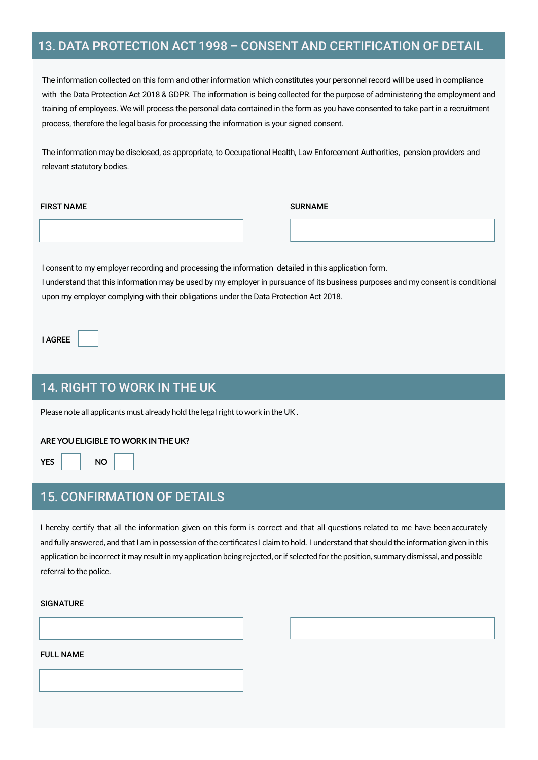#### 13. DATA PROTECTION ACT 1998 – CONSENT AND CERTIFICATION OF DETAIL

The information collected on this form and other information which constitutes your personnel record will be used in compliance with the Data Protection Act 2018 & GDPR. The information is being collected for the purpose of administering the employment and training of employees. We will process the personal data contained in the form as you have consented to take part in a recruitment process, therefore the legal basis for processing the information is your signed consent.

The information may be disclosed, as appropriate, to Occupational Health, Law Enforcement Authorities, pension providers and relevant statutory bodies.

#### FIRST NAME SURNAME

I consent to my employer recording and processing the information detailed in this application form. I understand that this information may be used by my employer in pursuance of its business purposes and my consent is conditional upon my employer complying with their obligations under the Data Protection Act 2018.

I AGREE

#### 14. RIGHT TO WORK IN THE UK

Please note all applicants must already hold the legal right to work in the UK .

#### **ARE YOU ELIGIBLE TO WORK IN THE UK?**

#### YES NO

#### 15. CONFIRMATION OF DETAILS

I hereby certify that all the information given on this form is correct and that all questions related to me have been accurately and fully answered, and that I am in possession of the certificates I claim to hold. I understand that should the information given in this application be incorrect it may result in my application being rejected, or if selected for the position, summary dismissal, and possible referral to the police.

DATE

#### SIGNATURE

#### FULL NAME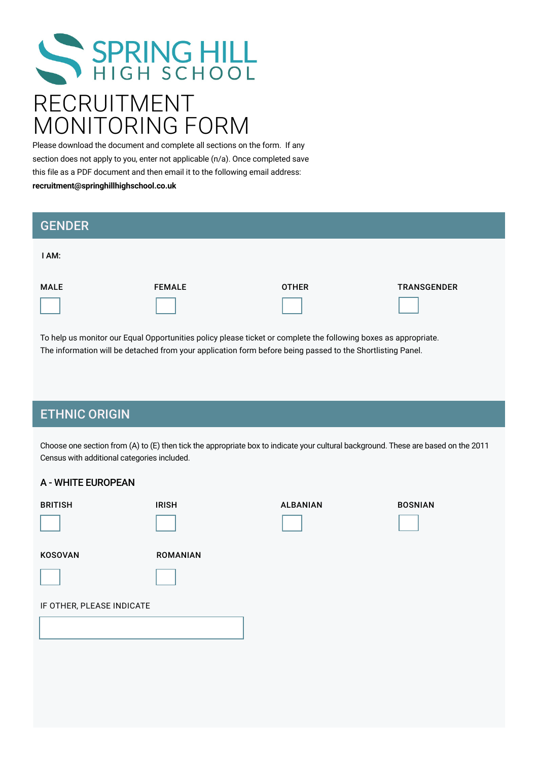# SPRING HILL RECRUITMENT MONITORING FORM

Please download the document and complete all sections on the form. If any section does not apply to you, enter not applicable (n/a). Once completed save this file as a PDF document and then email it to the following email address: **recruitment@springhillhighschool.co.uk** 

| <b>GENDER</b> |               |              |                    |
|---------------|---------------|--------------|--------------------|
| I AM:         |               |              |                    |
| <b>MALE</b>   | <b>FEMALE</b> | <b>OTHER</b> | <b>TRANSGENDER</b> |

To help us monitor our Equal Opportunities policy please ticket or complete the following boxes as appropriate. The information will be detached from your application form before being passed to the Shortlisting Panel.

#### ETHNIC ORIGIN

Choose one section from (A) to (E) then tick the appropriate box to indicate your cultural background. These are based on the 2011 Census with additional categories included.

#### A - WHITE EUROPEAN

| <b>BRITISH</b>            | <b>IRISH</b>    | <b>ALBANIAN</b> | <b>BOSNIAN</b> |
|---------------------------|-----------------|-----------------|----------------|
| KOSOVAN                   | <b>ROMANIAN</b> |                 |                |
|                           |                 |                 |                |
| IF OTHER, PLEASE INDICATE |                 |                 |                |
|                           |                 |                 |                |
|                           |                 |                 |                |
|                           |                 |                 |                |
|                           |                 |                 |                |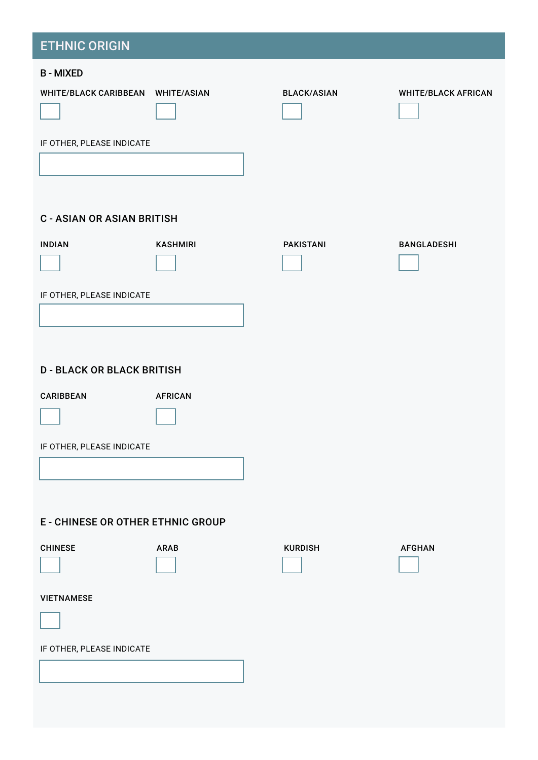# B - MIXED WHITE/BLACK CARIBBEAN WHITE/ASIAN BLACK/ASIAN WHITE/BLACK AFRICAN IF OTHER, PLEASE INDICATE C - ASIAN OR ASIAN BRITISH INDIAN KASHMIRI PAKISTANI BANGLADESHI IF OTHER, PLEASE INDICATE D - BLACK OR BLACK BRITISH CARIBBEAN AFRICAN IF OTHER, PLEASE INDICATE E - CHINESE OR OTHER ETHNIC GROUP CHINESE ARAB KURDISH AFGHAN VIETNAMESE IF OTHER, PLEASE INDICATE ETHNIC ORIGIN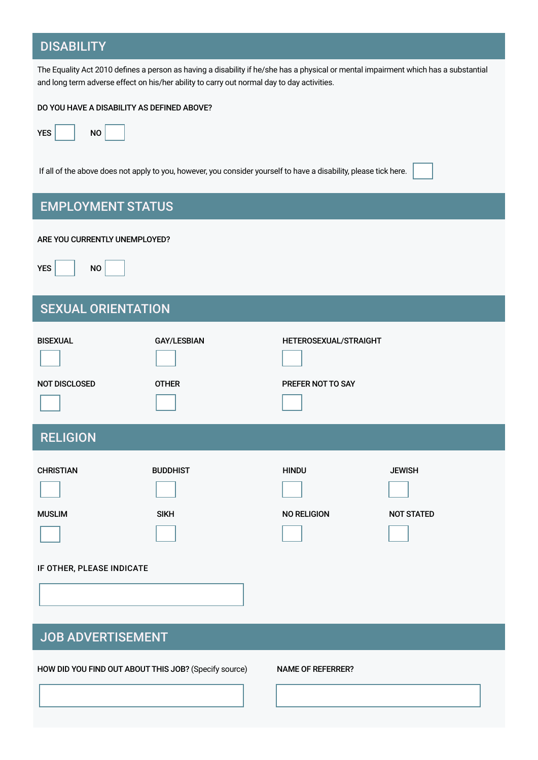#### **DISABILITY**

The Equality Act 2010 defines a person as having a disability if he/she has a physical or mental impairment which has a substantial and long term adverse effect on his/her ability to carry out normal day to day activities.



If all of the above does not apply to you, however, you consider yourself to have a disability, please tick here.



# EMPLOYMENT STATUS

#### ARE YOU CURRENTLY UNEMPLOYED?

 $YES$   $\vert$  NO

# SEXUAL ORIENTATION

| <b>BISEXUAL</b>                   | <b>GAY/LESBIAN</b>             | HETEROSEXUAL/STRAIGHT              |                                    |  |  |
|-----------------------------------|--------------------------------|------------------------------------|------------------------------------|--|--|
| <b>NOT DISCLOSED</b>              | <b>OTHER</b>                   | PREFER NOT TO SAY                  |                                    |  |  |
| <b>RELIGION</b>                   |                                |                                    |                                    |  |  |
| <b>CHRISTIAN</b><br><b>MUSLIM</b> | <b>BUDDHIST</b><br><b>SIKH</b> | <b>HINDU</b><br><b>NO RELIGION</b> | <b>JEWISH</b><br><b>NOT STATED</b> |  |  |
| IF OTHER, PLEASE INDICATE         |                                |                                    |                                    |  |  |
| <b>JOB ADVERTISEMENT</b>          |                                |                                    |                                    |  |  |

HOW DID YOU FIND OUT ABOUT THIS JOB? (Specify source) NAME OF REFERRER?